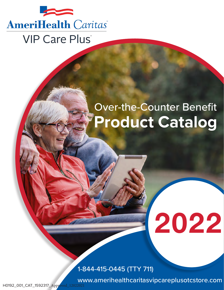

# Over-the-Counter Benefit **Product Catalog**

# 2022

,<br>1-844-415-0445 (TTY 711)

www.firstchoicevipcareplusotcstore.com www.amerihealthcaritasvipcareplusotcstore.com

H0192\_001\_CAT\_1592317\_Approved\_12022021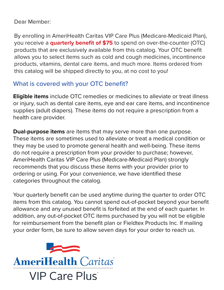Dear Member:

By enrolling in AmeriHealth Caritas VIP Care Plus (Medicare-Medicaid Plan), you receive a **quarterly benefit of \$75** to spend on over-the-counter (OTC) products that are exclusively available from this catalog. Your OTC benefit allows you to select items such as cold and cough medicines, incontinence products, vitamins, dental care items, and much more. Items ordered from this catalog will be shipped directly to you, at no cost to you!

## What is covered with your OTC benefit?

**Eligible items** include OTC remedies or medicines to alleviate or treat illness or injury, such as dental care items, eye and ear care items, and incontinence supplies (adult diapers). These items do not require a prescription from a health care provider.

**Dual-purpose items** are items that may serve more than one purpose. These items are sometimes used to alleviate or treat a medical condition or they may be used to promote general health and well-being. These items do not require a prescription from your provider to purchase; however, AmeriHealth Caritas VIP Care Plus (Medicare-Medicaid Plan) strongly recommends that you discuss these items with your provider prior to ordering or using. For your convenience, we have identified these categories throughout the catalog.

Your quarterly benefit can be used anytime during the quarter to order OTC items from this catalog. You cannot spend out-of-pocket beyond your benefit allowance and any unused benefit is forfeited at the end of each quarter. In addition, any out-of-pocket OTC items purchased by you will not be eligible for reimbursement from the benefit plan or Fieldtex Products Inc. If mailing your order form, be sure to allow seven days for your order to reach us.

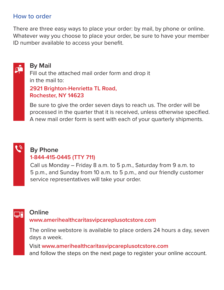#### How to order

There are three easy ways to place your order: by mail, by phone or online. Whatever way you choose to place your order, be sure to have your member ID number available to access your benefit.

# Fill out the attached mail order form and drop it in the mail to: **By Mail**

#### **2921 Brighton-Henrietta TL Road, Rochester, NY 14623**

Be sure to give the order seven days to reach us. The order will be processed in the quarter that it is received, unless otherwise specified. A new mail order form is sent with each of your quarterly shipments.



 $\mathfrak{g}$ 

## **By Phone**

#### **1-844-415-0445 (TTY 711)**

Call us Monday – Friday 8 a.m. to 5 p.m., Saturday from 9 a.m. to 5 p.m., and Sunday from 10 a.m. to 5 p.m., and our friendly customer service representatives will take your order.



#### **Online**

#### **www.amerihealthcaritasvipcareplusotcstore.com**

The online webstore is available to place orders 24 hours a day, seven days a week.

Visit **www.amerihealthcaritasvipcareplusotcstore.com** and follow the steps on the next page to register your online account.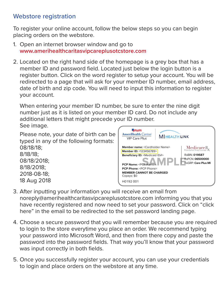#### Webstore registration

To register your online account, follow the below steps so you can begin placing orders on the webstore.

- 1. Open an internet browser window and go to **www.amerihealthcaritasvipcareplusotcstore.com**
- 2. Located on the right hand side of the homepage is a grey box that has a member ID and password field. Located just below the login button is a register button. Click on the word register to setup your account. You will be redirected to a page that will ask for your member ID number, email address, date of birth and zip code. You will need to input this information to register your account.

When entering your member ID number, be sure to enter the nine digit number just as it is listed on your member ID card. Do not include any additional letters that might precede your ID number.

See image.



- 3. After inputting your information you will receive an email from noreply@amerihealthcaritasvipcareplusotcstore.com informing you that you have recently registered and now need to set your password. Click on "click here" in the email to be redirected to the set password landing page.
- 4. Choose a secure password that you will remember because you are required to login to the store everytime you place an order. We recommend typing your password into Microsoft Word, and then from there copy and paste the password into the password fields. That way you'll know that your password was input correctly in both fields.
- 5. Once you successfully register your account, you can use your credentials to login and place orders on the webstore at any time.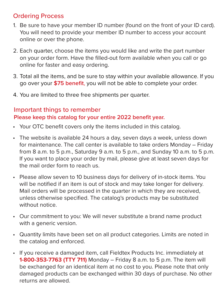#### Ordering Process

- 1. Be sure to have your member ID number (found on the front of your ID card). You will need to provide your member ID number to access your account online or over the phone.
- 2. Each quarter, choose the items you would like and write the part number on your order form. Have the filled-out form available when you call or go online for faster and easy ordering.
- 3. Total all the items, and be sure to stay within your available allowance. If you go over your **\$75 benefit**, you will not be able to complete your order.
- 4. You are limited to three free shipments per quarter.

#### Important things to remember **Please keep this catalog for your entire 2022 benefit year.**

- Your OTC benefit covers only the items included in this catalog.
- The website is available 24 hours a day, seven days a week, unless down for maintenance. The call center is available to take orders Monday – Friday from 8 a.m. to 5 p.m., Saturday 9 a.m. to 5 p.m., and Sunday 10 a.m. to 5 p.m. If you want to place your order by mail, please give at least seven days for the mail order form to reach us.
- Please allow seven to 10 business days for delivery of in-stock items. You will be notified if an item is out of stock and may take longer for delivery. Mail orders will be processed in the quarter in which they are received, unless otherwise specified. The catalog's products may be substituted without notice.
- Our commitment to you: We will never substitute a brand name product with a generic version.
- Quantity limits have been set on all product categories. Limits are noted in the catalog and enforced.
- If you receive a damaged item, call Fieldtex Products Inc. immediately at **1-800-353-7763 (TTY 711)** Monday – Friday 8 a.m. to 5 p.m. The item will be exchanged for an identical item at no cost to you. Please note that only damaged products can be exchanged within 30 days of purchase. No other returns are allowed.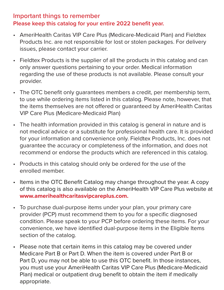#### Important things to remember **Please keep this catalog for your entire 2022 benefit year.**

- AmeriHealth Caritas VIP Care Plus (Medicare-Medicaid Plan) and Fieldtex Products Inc. are not responsible for lost or stolen packages. For delivery issues, please contact your carrier.
- Fieldtex Products is the supplier of all the products in this catalog and can only answer questions pertaining to your order. Medical information regarding the use of these products is not available. Please consult your provider.
- The OTC benefit only guarantees members a credit, per membership term, to use while ordering items listed in this catalog. Please note, however, that the items themselves are not offered or guaranteed by AmeriHealth Caritas VIP Care Plus (Medicare-Medicaid Plan)
- The health information provided in this catalog is general in nature and is not medical advice or a substitute for professional health care. It is provided for your information and convenience only. Fieldtex Products, Inc. does not guarantee the accuracy or completeness of the information, and does not recommend or endorse the products which are referenced in this catalog.
- Products in this catalog should only be ordered for the use of the enrolled member.
- Items in the OTC Benefit Catalog may change throughout the year. A copy of this catalog is also available on the AmeriHealth VIP Care Plus website at **www.amerihealthcaritasvipcareplus.com.**
- To purchase dual-purpose items under your plan, your primary care provider (PCP) must recommend them to you for a specific diagnosed condition. Please speak to your PCP before ordering these items. For your convenience, we have identified dual-purpose items in the Eligible Items section of the catalog.
- Please note that certain items in this catalog may be covered under Medicare Part B or Part D. When the item is covered under Part B or Part D, you may not be able to use this OTC benefit. In those instances, you must use your AmeriHealth Caritas VIP Care Plus (Medicare-Medicaid Plan) medical or outpatient drug benefit to obtain the item if medically appropriate.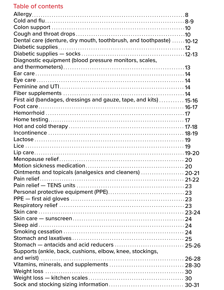# Table of contents

| Dental care (denture, dry mouth, toothbrush, and toothpaste) 10-12 |  |
|--------------------------------------------------------------------|--|
|                                                                    |  |
|                                                                    |  |
| Diagnostic equipment (blood pressure monitors, scales,             |  |
|                                                                    |  |
|                                                                    |  |
|                                                                    |  |
|                                                                    |  |
|                                                                    |  |
| First aid (bandages, dressings and gauze, tape, and kits) 15-16    |  |
|                                                                    |  |
|                                                                    |  |
|                                                                    |  |
|                                                                    |  |
|                                                                    |  |
|                                                                    |  |
|                                                                    |  |
|                                                                    |  |
|                                                                    |  |
|                                                                    |  |
| Ointments and topicals (analgesics and cleaners)  20-21            |  |
|                                                                    |  |
|                                                                    |  |
|                                                                    |  |
|                                                                    |  |
|                                                                    |  |
|                                                                    |  |
|                                                                    |  |
|                                                                    |  |
|                                                                    |  |
|                                                                    |  |
|                                                                    |  |
| Supports (ankle, back, cushions, elbow, knee, stockings,           |  |
|                                                                    |  |
|                                                                    |  |
|                                                                    |  |
|                                                                    |  |
|                                                                    |  |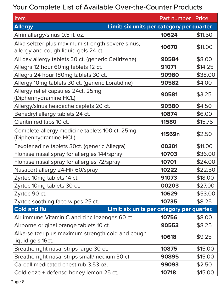# Your Complete List of Available Over-the-Counter Products

| Item                                                              | Part number | Price   |
|-------------------------------------------------------------------|-------------|---------|
| Limit: six units per category per quarter.<br><b>Allergy</b>      |             |         |
| Afrin allergy/sinus 0.5 fl. oz.                                   | 10624       | \$11.50 |
| Alka seltzer plus maximum strength severe sinus,                  |             |         |
| allergy and cough liquid gels 24 ct.                              | 10670       | \$11.00 |
| All day allergy tablets 30 ct. (generic Cetirizene)               | 90584       | \$8.00  |
| Allegra 12 hour 60mg tablets 12 ct.                               | 91071       | \$14.25 |
| Allegra 24 hour 180mg tablets 30 ct.                              | 90980       | \$38.00 |
| Allergy 10mg tablets 30 ct. (generic Loratidine)                  | 90582       | \$4.00  |
| Allergy relief capsules 24ct. 25mg                                | 90581       | \$3.25  |
| (Diphenhydramine HCL)                                             |             |         |
| Allergy/sinus headache caplets 20 ct.                             | 90580       | \$4.50  |
| Benadryl allergy tablets 24 ct.                                   | 10874       | \$6.00  |
| Claritin reditabs 10 ct.                                          | 11580       | \$15.75 |
| Complete allergy medicine tablets 100 ct. 25mg                    | 11569n      | \$2.50  |
| (Diphenhydramine HCL)                                             |             |         |
| Fexofenadine tablets 30ct. (generic Allegra)                      | 00301       | \$11.00 |
| Flonase nasal spray for allergies 144/spray                       | 10703       | \$36.00 |
| Flonase nasal spray for allergies 72/spray                        | 10701       | \$24.00 |
| Nasacort allergy 24-HR 60/spray                                   | 10222       | \$22.50 |
| Zyrtec 10mg tablets 14 ct.                                        | 91073       | \$18.00 |
| Zyrtec 10mg tablets 30 ct.                                        | 00203       | \$27.00 |
| Zyrtec 90 ct.                                                     | 10629       | \$53.00 |
| Zyrtec soothing face wipes 25 ct.                                 | 10735       | \$8.25  |
| <b>Cold and flu</b><br>Limit: six units per category per quarter. |             |         |
| Air immune Vitamin C and zinc lozenges 60 ct.                     | 10756       | \$8.00  |
| Airborne original orange tablets 10 ct.                           | 90553       | \$8.25  |
| Alka-seltzer plus maximum strength cold and cough                 | 10618       | \$9.25  |
| liquid gels 16ct.                                                 |             |         |
| Breathe right nasal strips large 30 ct.                           | 10875       | \$15.00 |
| Breathe right nasal strips small/medium 30 ct.                    | 90895       | \$15.00 |
| Careall medicated chest rub 3.53 oz.                              | 99093       | \$2.50  |
| Cold-eeze + defense honey lemon 25 ct.                            | 10718       | \$15.00 |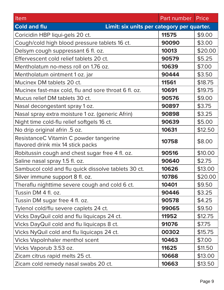| Item                                                              | Part number | Price   |
|-------------------------------------------------------------------|-------------|---------|
| <b>Cold and flu</b><br>Limit: six units per category per quarter. |             |         |
| Coricidin HBP liqui-gels 20 ct.                                   | 11575       | \$9.00  |
| Cough/cold high blood pressure tablets 16 ct.                     | 90090       | \$3.00  |
| Delsym cough suppressant 6 fl. oz.                                | 10013       | \$20.00 |
| Effervescent cold relief tablets 20 ct.                           | 90579       | \$5.25  |
| Mentholatum no-mess roll on 1.76 oz.                              | 10639       | \$7.00  |
| Mentholatum ointment 1 oz. jar                                    | 90444       | \$3.50  |
| Mucinex DM tablets 20 ct.                                         | 11561       | \$18.75 |
| Mucinex fast-max cold, flu and sore throat 6 fl. oz.              | 10691       | \$19.75 |
| Mucus relief DM tablets 30 ct.                                    | 90576       | \$9.00  |
| Nasal decongestant spray 1 oz.                                    | 90897       | \$3.75  |
| Nasal spray extra moisture 1 oz. (generic Afrin)                  | 90898       | \$3.25  |
| Night time cold-flu relief softgels 16 ct.                        | 90639       | \$5.00  |
| No drip original afrin .5 oz.                                     | 10631       | \$12.50 |
| ResistanceC Vitamin C powder tangerine                            | 10758       | \$8.00  |
| flavored drink mix 14 stick packs                                 |             |         |
| Robitussin cough and chest sugar free 4 fl. oz.                   | 90516       | \$10.00 |
| Saline nasal spray 1.5 fl. oz.                                    | 90640       | \$2.75  |
| Sambucol cold and flu quick dissolve tablets 30 ct.               | 10626       | \$13.00 |
| Silver immune support 8 fl. oz.                                   | 10786       | \$20.00 |
| Theraflu nighttime severe cough and cold 6 ct.                    | 10401       | \$9.50  |
| Tussin DM 4 fl. oz.                                               | 90446       | \$3.25  |
| Tussin DM sugar free 4 fl. oz.                                    | 90578       | \$4.25  |
| Tylenol cold/flu severe caplets 24 ct.                            | 99065       | \$9.50  |
| Vicks DayQuil cold and flu liquicaps 24 ct.                       | 11952       | \$12.75 |
| Vicks DayQuil cold and flu liquicaps 8 ct.                        | 91076       | \$7.75  |
| Vicks NyQuil cold and flu liquicaps 24 ct.                        | 00302       | \$15.75 |
| <b>Vicks Vapolnhaler menthol scent</b>                            | 10463       | \$7.00  |
| Vicks Vaporub 3.53 oz.                                            | 11625       | \$11.50 |
| Zicam citrus rapid melts 25 ct.                                   | 10668       | \$13.00 |
| Zicam cold remedy nasal swabs 20 ct.                              | 10663       | \$13.50 |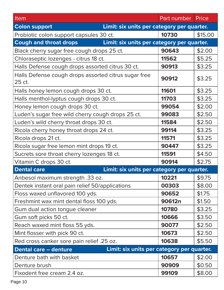| Item                                                                        | Part number | Price   |
|-----------------------------------------------------------------------------|-------------|---------|
| Limit: six units per category per quarter.<br><b>Colon support</b>          |             |         |
| Probiotic colon support capsules 30 ct.                                     | 10730       | \$15.00 |
| Limit: six units per category per quarter.<br><b>Cough and throat drops</b> |             |         |
| Black cherry sugar free cough drops 25 ct.                                  | 90643       | \$2.00  |
| Chloraseptic lozenges - citrus 18 ct.                                       | 11562       | \$5.25  |
| Halls Defense cough drops assorted citrus 30 ct.                            | 90913       | \$3.25  |
| Halls Defense cough drops assorted citrus sugar free<br>25 ct.              | 90912       | \$3.25  |
| Halls honey lemon cough drops 30 ct.                                        | 11601       | \$3.25  |
| Halls menthol-lyptus cough drops 30 ct.                                     | 11703       | \$3.25  |
| Honey lemon cough drops 30 ct.                                              | 99054       | \$2.00  |
| Luden's sugar free wild cherry cough drops 25 ct.                           | 99083       | \$2.50  |
| Luden's wild cherry throat drops 30 ct.                                     | 11584       | \$2.50  |
| Ricola cherry honey throat drops 24 ct.                                     | 99114       | \$3.25  |
| Ricola drops 21 ct.                                                         | 11571       | \$3.25  |
| Ricola sugar free lemon mint drops 19 ct.                                   | 90447       | \$3.25  |
| Sucrets sore throat cherry lozenges 18 ct.                                  | 11591       | \$4.50  |
| Vitamin C drops 30 ct.                                                      | 90914       | \$2.75  |
| Limit: six units per category per quarter.<br><b>Dental care</b>            |             |         |
| Anbesol maximum strength .33 oz.                                            | 10221       | \$9.75  |
| Dentek instant oral pain relief 50/applications                             | 00303       | \$8.00  |
| Floss waxed unflavored 100 yds.                                             | 90652       | \$1.75  |
| Freshmint wax mint dental floss 100 yds.                                    | 90612n      | \$1.50  |
| Gum dual action tongue cleaner                                              | 10780       | \$3.25  |
| Gum soft picks 50 ct.                                                       | 10666       | \$3.50  |
| Reach waxed mint floss 55 yds.                                              | 90077       | \$2.50  |
| Mint flosser with pick 90 ct.                                               | 10673       | \$2.50  |
| Red cross canker sore pain relief .25 oz.                                   | 10638       | \$5.50  |
| Limit: six units per category per quarter.<br><b>Dental care - denture</b>  |             |         |
| Denture bath with basket                                                    | 10657       | \$2.00  |
| Denture brush                                                               | 90909       | \$0.50  |
| Fixodent free cream 2.4 oz.                                                 | 99109       | \$8.00  |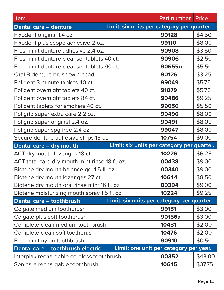| Item                                                                        | Part number | Price   |
|-----------------------------------------------------------------------------|-------------|---------|
| Limit: six units per category per quarter.<br><b>Dental care - denture</b>  |             |         |
| Fixodent original 1.4 oz.                                                   | 90128       | \$4.50  |
| Fixodent plus scope adhesive 2 oz.                                          | 99110       | \$8.00  |
| Freshmint denture adhesive 2.4 oz.                                          | 90908       | \$3.50  |
| Freshmint denture cleanser tablets 40 ct.                                   | 90906       | \$2.50  |
| Freshmint denture cleanser tablets 90 ct.                                   | 90655n      | \$5.50  |
| Oral B denture brush twin head                                              | 90126       | \$3.25  |
| Polident 3-minute tablets 40 ct.                                            | 99049       | \$5.75  |
| Polident overnight tablets 40 ct.                                           | 91079       | \$5.75  |
| Polident overnight tablets 84 ct.                                           | 90486       | \$9.25  |
| Polident tablets for smokers 40 ct.                                         | 99050       | \$5.50  |
| Poligrip super extra care 2.2 oz.                                           | 90490       | \$8.00  |
| Poligrip super original 2.4 oz.                                             | 90491       | \$8.00  |
| Poligrip super spg free 2.4 oz.                                             | 99047       | \$8.00  |
| Secure denture adhesive strips 15 ct.                                       | 10754       | \$9.00  |
| Limit: six units per category per quarter.<br>Dental care - dry mouth       |             |         |
| ACT dry mouth lozenges 18 ct.                                               | 10226       | \$6.25  |
| ACT total care dry mouth mint rinse 18 fl. oz.                              | 00438       | \$9.00  |
| Biotene dry mouth balance gel 1.5 fl. oz.                                   | 00340       | \$9.00  |
| Biotene dry mouth lozenges 27 ct.                                           | 10644       | \$8.50  |
| Biotene dry mouth oral rinse mint 16 fl. oz.                                | 00304       | \$9.00  |
| Biotene moisturizing mouth spray 1.5 fl. oz.                                | 10224       | \$9.25  |
| Limit: six units per category per quarter.<br>Dental care - toothbrush      |             |         |
|                                                                             |             |         |
| Colgate medium toothbrush                                                   | 99181       | \$3.00  |
| Colgate plus soft toothbrush                                                | 90156a      | \$3.00  |
| Complete clean medium toothbrush                                            | 10481       | \$2.00  |
| Complete clean soft toothbrush                                              | 10476       | \$2.00  |
| Freshmint nylon toothbrush                                                  | 90910       | \$0.50  |
| Limit: one unit per category per year.<br>Dental care - toothbrush electric |             |         |
| Interplak rechargable cordless toothbrush                                   | 00352       | \$43.00 |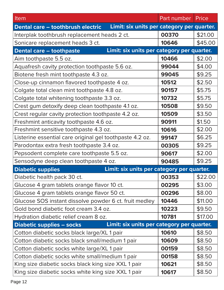| Item                                                                            | Part number | Price   |
|---------------------------------------------------------------------------------|-------------|---------|
| Limit: six units per category per quarter.<br>Dental care - toothbrush electric |             |         |
| Interplak toothbrush replacement heads 2 ct.                                    | 00370       | \$21.00 |
| Sonicare replacement heads 3 ct.                                                | 10646       | \$45.00 |
| Limit: six units per category per quarter.<br><b>Dental care - toothpaste</b>   |             |         |
| Aim toothpaste 5.5 oz.                                                          | 10466       | \$2.00  |
| Aquafresh cavity protection toothpaste 5.6 oz.                                  | 99044       | \$4.00  |
| Biotene fresh mint toothpaste 4.3 oz.                                           | 99045       | \$9.25  |
| Close-up cinnamon flavored toothpaste 4 oz.                                     | 10512       | \$2.50  |
| Colgate total clean mint toothpaste 4.8 oz.                                     | 90157       | \$5.75  |
| Colgate total whitening toothpaste 3.3 oz.                                      | 10732       | \$5.75  |
| Crest gum detoxify deep clean toothpaste 4.1 oz.                                | 10508       | \$9.50  |
| Crest regular cavity protection toothpaste 4.2 oz.                              | 10509       | \$3.50  |
| Freshmint anticavity toothpaste 4.6 oz.                                         | 90911       | \$1.50  |
| Freshmint sensitive toothpaste 4.3 oz.                                          | 10616       | \$2.00  |
| Listerine essential care original gel toothpaste 4.2 oz.                        | 99147       | \$6.25  |
| Parodontax extra fresh toothpaste 3.4 oz.                                       | 00305       | \$9.25  |
| Pepsodent complete care toothpaste 5.5 oz.                                      | 90617       | \$2.00  |
| Sensodyne deep clean toothpaste 4 oz.                                           | 90485       | \$9.25  |
| Limit: six units per category per quarter.<br><b>Diabetic supplies</b>          |             |         |
| Diabetic health pack 30 ct.                                                     | 00353       | \$22.00 |
| Glucose 4 gram tablets orange flavor 10 ct.                                     | 00295       | \$3.00  |
| Glucose 4 gram tablets orange flavor 50 ct.                                     | 00296       | \$8.00  |
| Glucose SOS instant dissolve powder 6 ct. fruit medley                          | 10446       | \$11.00 |
| Gold bond diabetic foot cream 3.4 oz.                                           | 10223       | \$9.50  |
| Hydration diabetic relief cream 8 oz.                                           | 10781       | \$17.00 |
| Limit: six units per category per quarter.<br><b>Diabetic supplies – socks</b>  |             |         |
| Cotton diabetic socks black large/XL 1 pair                                     | 10610       | \$8.50  |
| Cotton diabetic socks black small/medium 1 pair                                 | 10609       | \$8.50  |
| Cotton diabetic socks white large/XL 1 pair                                     | 00159       | \$8.50  |
| Cotton diabetic socks white small/medium 1 pair                                 | 00158       | \$8.50  |
| King size diabetic socks black king size XXL 1 pair                             | 10621       | \$8.50  |
| King size diabetic socks white king size XXL 1 pair                             | 10617       | \$8.50  |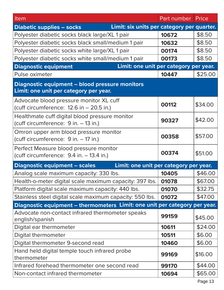| Item                                                                                     | Part number | Price   |
|------------------------------------------------------------------------------------------|-------------|---------|
| Limit: six units per category per quarter.<br><b>Diabetic supplies - socks</b>           |             |         |
| Polyester diabetic socks black large/XL 1 pair                                           | 10672       | \$8.50  |
| Polyester diabetic socks black small/medium 1 pair                                       | 10632       | \$8.50  |
| Polyester diabetic socks white large/XL 1 pair                                           | 00174       | \$8.50  |
| Polyester diabetic socks white small/medium 1 pair                                       | 00173       | \$8.50  |
| Limit: one unit per category per year.<br><b>Diagnostic equipment</b>                    |             |         |
| Pulse oximeter                                                                           | 10447       | \$25.00 |
| Diagnostic equipment - blood pressure monitors<br>Limit: one unit per category per year. |             |         |
| Advocate blood pressure monitor XL cuff<br>(cuff circumference: $12.6$ in $- 20.5$ in.)  | 00112       | \$34.00 |
| Healthmate cuff digital blood pressure monitor<br>(cuff circumference: 9 in. - 13 in.)   | 90327       | \$42.00 |
| Omron upper arm blood pressure monitor<br>(cuff circumference: 9 in. - 17 in.)           | 00358       | \$57.00 |
| Perfect Measure blood pressure monitor<br>(cuff circumference: 9.4 in. - 13.4 in.)       | 00374       | \$51.00 |
| <b>Diagnostic equipment - scales</b><br>Limit: one unit per category per year.           |             |         |
| Analog scale maximum capacity: 330 lbs.                                                  | 10405       | \$46.00 |
| Health-o-meter digital scale maximum capacity: 397 lbs.                                  | 01078       | \$67.00 |
| Platform digital scale maximum capacity: 440 lbs.                                        | 01070       | \$32.75 |
| Stainless steel digital scale maximum capacity: 550 lbs.                                 | 01072       | \$47.00 |
| Diagnostic equipment - thermometers Limit: one unit per category per year.               |             |         |
| Advocate non-contact infrared thermometer speaks<br>english/spanish                      | 99159       | \$45.00 |
| Digital ear thermometer                                                                  | 10611       | \$24.00 |
| Digital thermometer                                                                      | 10511       | \$6.00  |
| Digital thermometer 9-second read                                                        | 10460       | \$6.00  |
| Hand held digital temple touch infrared probe<br>thermometer                             | 99169       | \$16.00 |
| Infrared forehead thermometer one second read                                            | 99170       | \$44.00 |
| Non-contact infrared thermometer                                                         | 10694       | \$65.00 |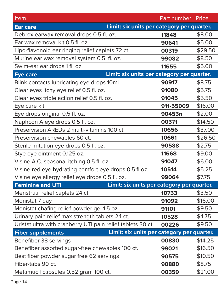| Item                                                                   | Part number   Price |         |
|------------------------------------------------------------------------|---------------------|---------|
| Limit: six units per category per quarter.<br><b>Ear care</b>          |                     |         |
| Debrox earwax removal drops 0.5 fl. oz.                                | 11848               | \$8.00  |
| Ear wax removal kit 0.5 fl. oz.                                        | 90641               | \$5.00  |
| Lipo-flavonoid ear ringing relief caplets 72 ct.                       | 00319               | \$29.50 |
| Murine ear wax removal system 0.5. fl. oz.                             | 99082               | \$8.50  |
| Swim-ear ear drops 1 fl. oz.                                           | 11655               | \$5.00  |
| Limit: six units per category per quarter.<br><b>Eye care</b>          |                     |         |
| Blink contacts lubricating eye drops 10ml                              | 90917               | \$8.75  |
| Clear eyes itchy eye relief 0.5 fl. oz.                                | 91080               | \$5.75  |
| Clear eyes triple action relief 0.5 fl. oz.                            | 91045               | \$5.50  |
| Eye care kit                                                           | 911-55009           | \$16.00 |
| Eye drops original 0.5 fl. oz.                                         | 90453n              | \$2.00  |
| Naphcon A eye drops 0.5 fl. oz.                                        | 00371               | \$14.50 |
| Preservision AREDs 2 multi-vitamins 100 ct.                            | 10656               | \$37.00 |
| Preservision chewables 60 ct.                                          | 10661               | \$26.50 |
| Sterile irritation eye drops 0.5 fl. oz.                               | 90588               | \$2.75  |
| Stye eye ointment 0.125 oz.                                            | 11668               | \$9.00  |
| Visine A.C. seasonal itching 0.5 fl. oz.                               | 91047               | \$6.00  |
| Visine red eye hydrating comfort eye drops 0.5 fl oz.                  | 10514               | \$5.25  |
| Visine eye allergy relief eye drops 0.5 fl. oz.                        | 99064               | \$7.75  |
| Limit: six units per category per quarter.<br><b>Feminine and UTI</b>  |                     |         |
| Menstrual relief caplets 24 ct.                                        | 10733               | \$3.50  |
| Monistat 7 day                                                         | 91092               | \$16.00 |
| Monistat chafing relief powder gel 1.5 oz.                             | 91101               | \$9.50  |
| Urinary pain relief max strength tablets 24 ct.                        | 10528               | \$4.75  |
| Uristat ultra with cranberry UTI pain relief tablets 30 ct.            | 00226               | \$9.50  |
| Limit: six units per category per quarter.<br><b>Fiber supplements</b> |                     |         |
| Benefiber 38 servings                                                  | 00830               | \$14.25 |
| Benefiber assorted sugar-free chewables 100 ct.                        | 99021               | \$16.50 |
| Best fiber powder sugar free 62 servings                               | 90575               | \$10.50 |
| Fiber-tabs 90 ct.                                                      | 90880               | \$8.75  |
| Metamucil capsules 0.52 gram 100 ct.                                   | 00359               | \$21.00 |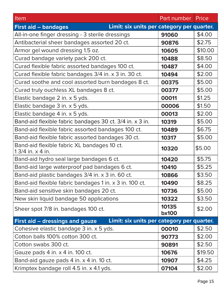| Item                                                                          | Part number           | Price   |
|-------------------------------------------------------------------------------|-----------------------|---------|
| Limit: six units per category per quarter.<br><b>First aid - bandages</b>     |                       |         |
| All-in-one finger dressing - 3 sterile dressings                              | 91060                 | \$4.00  |
| Antibacterial sheer bandages assorted 20 ct.                                  | 90876                 | \$2.75  |
| Armor gel wound dressing 1.5 oz.                                              | 10605                 | \$10.00 |
| Curad bandage variety pack 200 ct.                                            | 10488                 | \$8.50  |
| Curad flexible fabric assorted bandages 100 ct.                               | 10487                 | \$4.00  |
| Curad flexible fabric bandages 3/4 in. x 3 in. 30 ct.                         | 10494                 | \$2.00  |
| Curad soothe and cool assorted burn bandages 8 ct.                            | 00375                 | \$5.00  |
| Curad truly ouchless XL bandages 8 ct.                                        | 00377                 | \$5.00  |
| Elastic bandage 2 in. x 5 yds.                                                | 00011                 | \$1.25  |
| Elastic bandage 3 in. x 5 yds.                                                | 00006                 | \$1.50  |
| Elastic bandage 4 in. x 5 yds.                                                | 00013                 | \$2.00  |
| Band-aid flexible fabric bandages 30 ct. 3/4 in. x 3 in.                      | 10319                 | \$5.00  |
| Band-aid flexible fabric assorted bandages 100 ct.                            | 10489                 | \$6.75  |
| Band-aid flexible fabric assorted bandages 30 ct.                             | 10317                 | \$5.00  |
| Band-aid flexible fabric XL bandages 10 ct.<br>1 3/4 in. x 4 in.              | 10320                 | \$5.00  |
| Band-aid hydro seal large bandages 6 ct.                                      | 10420                 | \$5.75  |
| Band-aid large waterproof pad bandages 6 ct.                                  | 10410                 | \$5.25  |
| Band-aid plastic bandages 3/4 in. x 3 in. 60 ct.                              | 10866                 | \$3.50  |
| Band-aid flexible fabric bandages 1 in. x 3 in. 100 ct.                       | 10490                 | \$8.25  |
| Band-aid sensitive skin bandages 20 ct.                                       | 10736                 | \$5.00  |
| New skin liquid bandage 50 applications                                       | 10322                 | \$3.50  |
| Sheer spot 7/8 in. bandages 100 ct.                                           | 10135<br><b>bx100</b> | \$2.00  |
| Limit: six units per category per quarter.<br>First aid – dressings and gauze |                       |         |
| Cohesive elastic bandage 3 in. x 5 yds.                                       | 00010                 | \$2.50  |
| Cotton balls 100% cotton 300 ct.                                              | 90773                 | \$2.00  |
| Cotton swabs 300 ct.                                                          | 90891                 | \$2.50  |
| Gauze pads 4 in. x 4 in. 100 ct.                                              | 10676                 | \$19.50 |
| Band-aid gauze pads 4 in. x 4 in. 10 ct.                                      | 10907                 | \$4.25  |
| Krimptex bandage roll 4.5 in. x 4.1 yds.                                      | 07104                 | \$2.00  |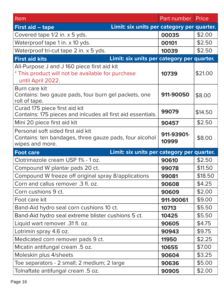| Item                                                                                                                  | Part number         | Price   |
|-----------------------------------------------------------------------------------------------------------------------|---------------------|---------|
| Limit: six units per category per quarter.<br><b>First aid - tape</b>                                                 |                     |         |
| Covered tape 1/2 in. x 5 yds.                                                                                         | 00035               | \$2.00  |
| Waterproof tape 1 in. x 10 yds.                                                                                       | 00101               | \$2.50  |
| Waterproof tri-cut tape 2 in. x 5 yds.                                                                                | 10039               | \$2.50  |
| Limit: six units per category per quarter.<br><b>First aid kits</b>                                                   |                     |         |
| All-Purpose J and J 160 piece first aid kit<br>* This product will not be available for purchase<br>until April 2022. | 10739               | \$21.00 |
| Burn care kit<br>Contains: two gauze pads, four burn gel packets, one<br>roll of tape.                                | 911-90050           | \$8.00  |
| Curad 175 piece first aid kit<br>Contains: 175 pieces and inlcudes all first aid essentials.                          | 99079               | \$14.50 |
| Mini 20 piece first aid kit                                                                                           | 90457               | \$2.50  |
| Personal soft sided first aid kit<br>Contains: ten bandages, three gauze pads, four alcohol<br>wipes and more.        | 911-93901-<br>10999 | \$8.00  |
| Limit: six units per category per quarter.<br><b>Foot care</b>                                                        |                     |         |
| Clotrimazole cream USP 1% - 1 oz.                                                                                     | 90610               | \$2.50  |
| Compound W plantar pads 20 ct.                                                                                        | 99078               | \$11.50 |
| Compound W freeze off original spray 8/applications                                                                   | 99081               | \$18.50 |
| Corn and callus remover .3 fl. oz.                                                                                    | 90608               | \$4.25  |
| Corn cushions 9 ct.                                                                                                   | 90609               | \$2.00  |
| Foot care kit                                                                                                         | 911-90061           | \$9.00  |
| Band-Aid hydro seal corn cushions 10 ct.                                                                              | 10713               | \$5.50  |
| Band-Aid hydro seal extreme blister cushions 5 ct.                                                                    | 10425               | \$5.50  |
| Liquid wart remover .31 fl. oz.                                                                                       | 90605               | \$4.75  |
| Lotrimin spray 4.6 oz.                                                                                                | 90943               | \$9.75  |
| Medicated corn remover pads 9 ct.                                                                                     | 11950               | \$2.25  |
| Micatin antifungal cream .5 oz.                                                                                       | 10655               | \$7.00  |
| Moleskin plus 4/sheets                                                                                                | 90604               | \$3.25  |
| Toe separators - 2 small; 2 medium; 2 large                                                                           | 90636               | \$5.00  |
| Tolnaftate antifungal cream .5 oz.                                                                                    | 90905               | \$2.00  |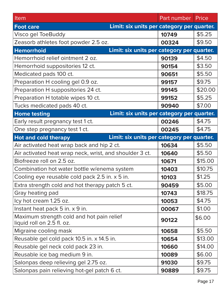| Item                                                                    | Part number                                | Price   |
|-------------------------------------------------------------------------|--------------------------------------------|---------|
| <b>Foot care</b>                                                        | Limit: six units per category per quarter. |         |
| Visco gel ToeBuddy                                                      | 10749                                      | \$5.25  |
| Zeasorb athletes foot powder 2.5 oz.                                    | 00324                                      | \$9.50  |
| <b>Hemorrhoid</b>                                                       | Limit: six units per category per quarter. |         |
| Hemorrhoid relief ointment 2 oz.                                        | 90139                                      | \$4.50  |
| Hemorrhoid suppositories 12 ct.                                         | 90154                                      | \$3.50  |
| Medicated pads 100 ct.                                                  | 90651                                      | \$5.50  |
| Preparation H cooling gel 0.9 oz.                                       | 99157                                      | \$9.75  |
| Preparation H suppositories 24 ct.                                      | 99145                                      | \$20.00 |
| Preparation H totable wipes 10 ct.                                      | 99152                                      | \$5.25  |
| Tucks medicated pads 40 ct.                                             | 90940                                      | \$7.00  |
| <b>Home testing</b>                                                     | Limit: six units per category per quarter. |         |
| Early result pregnancy test 1 ct.                                       | 00246                                      | \$4.75  |
| One step pregnancy test 1 ct.                                           | 00245                                      | \$4.75  |
| <b>Hot and cold therapy</b>                                             | Limit: six units per category per quarter. |         |
| Air activated heat wrap back and hip 2 ct.                              | 10634                                      | \$5.50  |
| Air activated heat wrap neck, wrist, and shoulder 3 ct.                 | 10640                                      | \$5.50  |
| Biofreeze roll on 2.5 oz.                                               | 10671                                      | \$15.00 |
| Combination hot water bottle w/enema system                             | 10403                                      | \$10.75 |
| Cooling eye reusable cold pack 2.5 in. x 5 in.                          | 10103                                      | \$1.25  |
| Extra strength cold and hot therapy patch 5 ct.                         | 90459                                      | \$5.00  |
| Gray heating pad                                                        | 10743                                      | \$18.75 |
| Icy hot cream 1.25 oz.                                                  | 10053                                      | \$4.75  |
| Instant heat pack 5 in. x 9 in.                                         | 00067                                      | \$1.00  |
| Maximum strength cold and hot pain relief<br>liquid roll on 2.5 fl. oz. | 90122                                      | \$6.00  |
| Migraine cooling mask                                                   | 10658                                      | \$5.50  |
| Reusable gel cold pack 10.5 in. x 14.5 in.                              | 10654                                      | \$13.00 |
| Reusable gel neck cold pack 23 in.                                      | 10660                                      | \$14.00 |
| Reusable ice bag medium 9 in.                                           | 10089                                      | \$6.00  |
| Salonpas deep relieving gel 2.75 oz.                                    | 91030                                      | \$9.75  |
| Salonpas pain relieving hot-gel patch 6 ct.                             | 90889                                      | \$9.75  |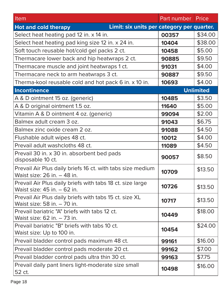| Item                                                                                      | Part number | Price            |
|-------------------------------------------------------------------------------------------|-------------|------------------|
| Limit: six units per category per quarter.<br><b>Hot and cold therapy</b>                 |             |                  |
| Select heat heating pad 12 in. x 14 in.                                                   | 00357       | \$34.00          |
| Select heat heating pad king size 12 in. x 24 in.                                         | 10404       | \$38.00          |
| Soft touch reusable hot/cold gel packs 2 ct.                                              | 10458       | \$5.00           |
| Thermacare lower back and hip heatwraps 2 ct.                                             | 90885       | \$9.50           |
| Thermacare muscle and joint heatwraps 1 ct.                                               | 91031       | \$4.00           |
| Thermacare neck to arm heatwraps 3 ct.                                                    | 90887       | \$9.50           |
| Therma-kool reusable cold and hot pack 6 in. x 10 in.                                     | 10693       | \$4.00           |
| <b>Incontinence</b>                                                                       |             | <b>Unlimited</b> |
| A & D ointment 15 oz. (generic)                                                           | 10485       | \$3.50           |
| A & D original ointment 1.5 oz.                                                           | 11640       | \$5.00           |
| Vitamin A & D ointment 4 oz. (generic)                                                    | 99094       | \$2.00           |
| Balmex adult cream 3 oz.                                                                  | 91043       | \$6.75           |
| Balmex zinc oxide cream 2 oz.                                                             | 91088       | \$4.50           |
| Flushable adult wipes 48 ct.                                                              | 10012       | \$4.00           |
| Prevail adult washcloths 48 ct.                                                           | 11089       | \$4.50           |
| Prevail 30 in. x 30 in. absorbent bed pads<br>disposable 10 ct.                           | 90057       | \$8.50           |
| Prevail Air Plus daily briefs 16 ct. with tabs size medium<br>Waist size: 26 in. – 48 in. | 10709       | \$13.50          |
| Prevail Air Plus daily briefs with tabs 18 ct. size large<br>Waist size: 45 in. - 62 in.  | 10726       | \$13.50          |
| Prevail Air Plus daily briefs with tabs 15 ct. size XL<br>Waist size: 58 in. - 70 in.     | 10717       | \$13.50          |
| Prevail bariatric "A" briefs with tabs 12 ct.<br>Waist size: 62 in. - 73 in.              | 10449       | \$18.00          |
| Prevail bariatric "B" briefs with tabs 10 ct.<br>Waist size: Up to 100 in.                | 10454       | \$24.00          |
| Prevail bladder control pads maximum 48 ct.                                               | 99161       | \$16.00          |
| Prevail bladder control pads moderate 20 ct.                                              | 99162       | \$7.00           |
| Prevail bladder control pads ultra thin 30 ct.                                            | 99163       | \$7.75           |
| Prevail daily pant liners light-moderate size small<br>52 ct.                             | 10498       | \$16.00          |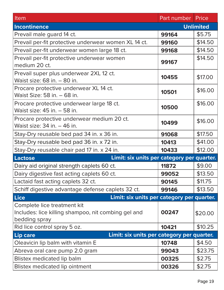| Item                                                                                                | Part number | Price            |
|-----------------------------------------------------------------------------------------------------|-------------|------------------|
| <b>Incontinence</b>                                                                                 |             | <b>Unlimited</b> |
| Prevail male guard 14 ct.                                                                           | 99164       | \$5.75           |
| Prevail per-fit protective underwear women XL 14 ct.                                                | 99160       | \$14.50          |
| Prevail per-fit underwear women large 18 ct.                                                        | 99168       | \$14.50          |
| Prevail per-fit protective underwear women<br>medium 20 ct.                                         | 99167       | \$14.50          |
| Prevail super plus underwear 2XL 12 ct.<br>Waist size: 68 in. - 80 in.                              | 10455       | \$17.00          |
| Procare protective underwear XL 14 ct.<br>Waist Size: 58 in. - 68 in.                               | 10501       | \$16.00          |
| Procare protective underwear large 18 ct.<br>Waist size: 45 in. - 58 in.                            | 10500       | \$16.00          |
| Procare protective underwear medium 20 ct.<br>Waist size: 34 in. - 46 in.                           | 10499       | \$16.00          |
| Stay-Dry reusable bed pad 34 in. x 36 in.                                                           | 91068       | \$17.50          |
| Stay-Dry reusable bed pad 36 in. x 72 in.                                                           | 10413       | \$41.00          |
| Stay-Dry reusable chair pad 17 in. x 24 in.                                                         | 10433       | \$12.00          |
| Limit: six units per category per quarter.<br><b>Lactose</b>                                        |             |                  |
| Dairy aid original strength caplets 60 ct.                                                          | 11872       | \$9.00           |
| Dairy digestive fast acting caplets 60 ct.                                                          | 99052       | \$13.50          |
| Lactaid fast acting caplets 32 ct.                                                                  | 90145       | \$11.75          |
| Schiff digestive advantage defense caplets 32 ct.                                                   | 99146       | \$13.50          |
| Limit: six units per category per quarter.<br><b>Lice</b>                                           |             |                  |
| Complete lice treatment kit<br>Includes: lice killing shampoo, nit combing gel and<br>bedding spray | 00247       | \$20.00          |
| Rid lice control spray 5 oz.                                                                        | 10421       | \$10.25          |
| Limit: six units per category per quarter.<br>Lip care                                              |             |                  |
| Oleavicin lip balm with vitamin E                                                                   | 10748       | \$4.50           |
| Abreva oral care pump 2.0 gram                                                                      | 99043       | \$23.75          |
| Blistex medicated lip balm                                                                          | 00325       | \$2.75           |
| Blistex medicated lip ointment                                                                      | 00326       | \$2.75           |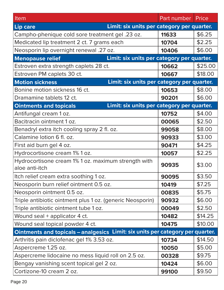| Item                                                                           | Part number Price |         |
|--------------------------------------------------------------------------------|-------------------|---------|
| Limit: six units per category per quarter.<br><b>Lip care</b>                  |                   |         |
| Campho-phenique cold sore treatment gel .23 oz.                                | 11633             | \$6.25  |
| Medicated lip treatment 2 ct. 7 grams each                                     | 10704             | \$2.25  |
| Neosporin lip overnight renewal .27 oz.                                        | 10406             | \$6.00  |
| Limit: six units per category per quarter.<br><b>Menopause relief</b>          |                   |         |
| Estroven extra strength caplets 28 ct.                                         | 10662             | \$25.00 |
| Estroven PM caplets 30 ct.                                                     | 10667             | \$18.00 |
| Limit: six units per category per quarter.<br><b>Motion sickness</b>           |                   |         |
| Bonine motion sickness 16 ct.                                                  | 10653             | \$8.00  |
| Dramamine tablets 12 ct.                                                       | 90201             | \$6.00  |
| Limit: six units per category per quarter.<br><b>Ointments and topicals</b>    |                   |         |
| Antifungal cream 1 oz.                                                         | 10752             | \$4.00  |
| Bacitracin ointment 1 oz.                                                      | 00065             | \$2.50  |
| Benadryl extra itch cooling spray 2 fl. oz.                                    | 99058             | \$8.00  |
| Calamine lotion 6 fl. oz.                                                      | 90933             | \$3.00  |
| First aid burn gel 4 oz.                                                       | 90471             | \$4.25  |
| Hydrocortisone cream 1% 1 oz.                                                  | 10057             | \$2.25  |
| Hydrocortisone cream 1% 1 oz. maximum strength with<br>aloe anti-itch          | 90935             | \$3.00  |
| Itch relief cream extra soothing 1 oz.                                         | 90095             | \$3.50  |
| Neosporin burn relief ointment 0.5 oz.                                         | 10419             | \$7.25  |
| Neosporin ointment 0.5 oz.                                                     | 00835             | \$5.75  |
| Triple antibiotic ointment plus 1 oz. (generic Neosporin)                      | 90932             | \$6.00  |
| Triple antibiotic ointment tube 1 oz.                                          | 00049             | \$2.50  |
| Wound seal + applicator 4 ct.                                                  | 10482             | \$14.25 |
| Wound seal topical powder 4 ct.                                                | 10475             | \$10.00 |
| Ointments and topicals - analgesics Limit: six units per category per quarter. |                   |         |
| Arthritis pain diclofenac gel 1% 3.53 oz.                                      | 10734             | \$14.50 |
| Aspercreme 1.25 oz.                                                            | 10050             | \$5.00  |
| Aspercreme lidocaine no mess liquid roll on 2.5 oz.                            | 00328             | \$9.75  |
| Bengay vanishing scent topical gel 2 oz.                                       | 10424             | \$6.00  |
| Cortizone-10 cream 2 oz.                                                       | 99100             | \$9.50  |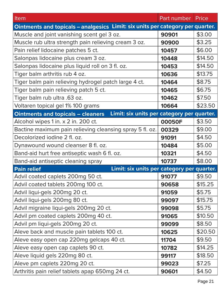| Item                                                                                   | Part number | Price   |
|----------------------------------------------------------------------------------------|-------------|---------|
| Ointments and topicals - analgesics Limit: six units per category per quarter.         |             |         |
| Muscle and joint vanishing scent gel 3 oz.                                             | 90901       | \$3.00  |
| Muscle rub ultra strength pain relieving cream 3 oz.                                   | 90900       | \$3.25  |
| Pain relief lidocaine patches 5 ct.                                                    | 10457       | \$6.00  |
| Salonpas lidocaine plus cream 3 oz.                                                    | 10448       | \$14.50 |
| Salonpas lidocaine plus liquid roll on 3 fl. oz.                                       | 10453       | \$14.50 |
| Tiger balm arthritis rub 4 oz.                                                         | 10636       | \$13.75 |
| Tiger balm pain relieving hydrogel patch large 4 ct.                                   | 10464       | \$8.75  |
| Tiger balm pain relieving patch 5 ct.                                                  | 10465       | \$6.75  |
| Tiger balm rub ultra .63 oz.                                                           | 10462       | \$7.50  |
| Voltaren topical gel 1% 100 grams                                                      | 10664       | \$23.50 |
| Limit: six units per category per quarter.<br><b>Ointments and topicals - cleaners</b> |             |         |
| Alcohol wipes 1 in. x 2 in. 200 ct.                                                    | 00050F      | \$3.50  |
| Bactine maximum pain relieving cleansing spray 5 fl. oz.                               | 00329       | \$9.00  |
| Decolorized iodine 2 fl. oz.                                                           | 91091       | \$4.50  |
| Dynawound wound cleanser 8 fl. oz.                                                     | 10484       | \$5.00  |
| Band-aid hurt free antiseptic wash 6 fl. oz.                                           | 10321       | \$4.50  |
| Band-aid antiseptic cleaning spray                                                     | 10737       | \$8.00  |
| Limit: six units per category per quarter.<br><b>Pain relief</b>                       |             |         |
| Advil coated caplets 200mg 50 ct.                                                      | 91077       | \$9.50  |
| Advil coated tablets 200mg 100 ct.                                                     | 90658       | \$15.25 |
| Advil liqui-gels 200mg 20 ct.                                                          | 91059       | \$5.75  |
| Advil liqui-gels 200mg 80 ct.                                                          | 99097       | \$15.75 |
| Advil migraine liqui-gels 200mg 20 ct.                                                 | 99098       | \$5.75  |
| Advil pm coated caplets 200mg 40 ct.                                                   | 91065       | \$10.50 |
| Advil pm liqui-gels 200mg 20 ct.                                                       | 99099       | \$8.50  |
| Aleve back and muscle pain tablets 100 ct.                                             | 10625       | \$20.50 |
| Aleve easy open cap 220mg gelcaps 40 ct.                                               | 11704       | \$9.50  |
| Aleve easy open cap caplets 90 ct.                                                     | 10782       | \$14.25 |
| Aleve liquid gels 220mg 80 ct.                                                         | 99117       | \$18.50 |
| Aleve pm caplets 220mg 20 ct.                                                          | 99023       | \$7.25  |
| Arthritis pain relief tablets apap 650mg 24 ct.                                        | 90601       | \$4.50  |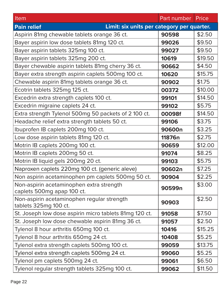| Item                                                                   | Part number | Price   |
|------------------------------------------------------------------------|-------------|---------|
| Limit: six units per category per quarter.<br><b>Pain relief</b>       |             |         |
| Aspirin 81mg chewable tablets orange 36 ct.                            | 90598       | \$2.50  |
| Bayer aspirin low dose tablets 81mg 120 ct.                            | 99026       | \$9.50  |
| Bayer aspirin tablets 325mg 100 ct.                                    | 99027       | \$9.50  |
| Bayer aspirin tablets 325mg 200 ct.                                    | 10619       | \$19.50 |
| Bayer chewable aspirin tablets 81mg cherry 36 ct.                      | 90662       | \$4.50  |
| Bayer extra strength aspirin caplets 500mg 100 ct.                     | 10620       | \$15.75 |
| Chewable aspirin 81mg tablets orange 36 ct.                            | 90902       | \$1.75  |
| Ecotrin tablets 325mg 125 ct.                                          | 00372       | \$10.00 |
| Excedrin extra strength caplets 100 ct.                                | 99101       | \$14.50 |
| Excedrin migraine caplets 24 ct.                                       | 99102       | \$5.75  |
| Extra strength Tylenol 500mg 50 packets of 2 100 ct.                   | 00098f      | \$14.50 |
| Headache relief extra strength tablets 50 ct.                          | 99106       | \$3.75  |
| Ibuprofen IB caplets 200mg 100 ct.                                     | 90600n      | \$3.25  |
| Low dose aspirin tablets 81mg 120 ct.                                  | 11876n      | \$2.75  |
| Motrin IB caplets 200mg 100 ct.                                        | 90659       | \$12.00 |
| Motrin IB caplets 200mg 50 ct.                                         | 91074       | \$8.25  |
| Motrin IB liquid gels 200mg 20 ct.                                     | 99103       | \$5.75  |
| Naproxen caplets 220mg 100 ct. (generic aleve)                         | 90602n      | \$7.25  |
| Non aspirin acetaminophen pm caplets 500mg 50 ct.                      | 90904       | \$2.25  |
| Non-aspirin acetaminophen extra strength<br>caplets 500mg apap 100 ct. | 90599n      | \$3.00  |
| Non-aspirin acetaminophen regular strength<br>tablets 325mg 100 ct.    | 90903       | \$2.50  |
| St. Joseph low dose aspirin micro tablets 81mg 120 ct.                 | 91058       | \$7.50  |
| St. Joseph low dose chewable aspirin 81mg 36 ct.                       | 91057       | \$2.50  |
| Tylenol 8 hour arthritis 650mg 100 ct.                                 | 10416       | \$15.25 |
| Tylenol 8 hour arthritis 650mg 24 ct.                                  | 10408       | \$5.25  |
| Tylenol extra strength caplets 500mg 100 ct.                           | 99059       | \$13.75 |
| Tylenol extra strength caplets 500mg 24 ct.                            | 99060       | \$5.25  |
| Tylenol pm caplets 500mg 24 ct.                                        | 99061       | \$6.50  |
| Tylenol regular strength tablets 325mg 100 ct.                         | 99062       | \$11.50 |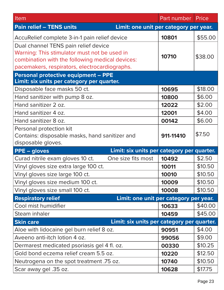| Item                                                                      | Part number | Price   |
|---------------------------------------------------------------------------|-------------|---------|
| <b>Pain relief - TENS units</b><br>Limit: one unit per category per year. |             |         |
| AccuRelief complete 3-in-1 pain relief device                             | 10801       | \$55.00 |
| Dual channel TENS pain relief device                                      |             |         |
| Warning: This stimulator must not be used in                              | 10710       |         |
| combination with the following medical devices:                           |             | \$38.00 |
| pacemakers, respirators, electrocardiographs.                             |             |         |
| <b>Personal protective equipment - PPE</b>                                |             |         |
| Limit: six units per category per quarter.                                |             |         |
| Disposable face masks 50 ct.                                              | 10695       | \$18.00 |
| Hand sanitizer with pump 8 oz.                                            | 10800       | \$6.00  |
| Hand sanitizer 2 oz.                                                      | 12022       | \$2.00  |
| Hand sanitizer 4 oz.                                                      | 12001       | \$4.00  |
| Hand sanitizer 8 oz.                                                      | 00142       | \$6.00  |
| Personal protection kit                                                   |             |         |
| Contains: disposable masks, hand sanitizer and                            | 911-11410   | \$7.50  |
| disposable gloves.                                                        |             |         |
| Limit: six units per category per quarter.<br><b>PPE – gloves</b>         |             |         |
| Curad nitrile exam gloves 10 ct.<br>One size fits most                    | 10492       | \$2.50  |
| Vinyl gloves size extra large 100 ct.                                     | 10011       | \$10.50 |
| Vinyl gloves size large 100 ct.                                           | 10010       | \$10.50 |
| Vinyl gloves size medium 100 ct.                                          | 10009       | \$10.50 |
| Vinyl gloves size small 100 ct.                                           | 10008       | \$10.50 |
| <b>Respiratory relief</b><br>Limit: one unit per category per year.       |             |         |
| Cool mist humidifier                                                      | 10633       | \$40.00 |
| Steam inhaler                                                             | 10459       | \$45.00 |
| Limit: six units per category per quarter.<br><b>Skin care</b>            |             |         |
| Aloe with lidocaine gel burn relief 8 oz.                                 | 90951       | \$4.00  |
| Aveeno anti-itch lotion 4 oz.                                             | 99056       | \$9.00  |
| Dermarest medicated psoriasis gel 4 fl. oz.                               | 00330       | \$10.25 |
| Gold bond eczema relief cream 5.5 oz.                                     | 10220       | \$12.50 |
| Neutrogena on the spot treatment .75 oz.                                  | 10740       | \$10.50 |
| Scar away gel .35 oz.                                                     | 10628       | \$17.75 |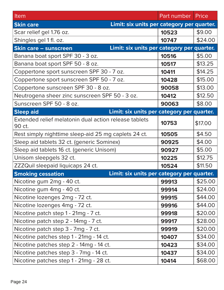| Item                                                                       | Part number   Price |         |
|----------------------------------------------------------------------------|---------------------|---------|
| Limit: six units per category per quarter.<br><b>Skin care</b>             |                     |         |
| Scar relief gel 1.76 oz.                                                   | 10523               | \$9.00  |
| Shingles gel 1 fl. oz.                                                     | 10747               | \$24.00 |
| Limit: six units per category per quarter.<br><b>Skin care - sunscreen</b> |                     |         |
| Banana boat sport SPF 30 - 3 oz.                                           | 10516               | \$5.00  |
| Banana boat sport SPF 50 - 8 oz.                                           | 10517               | \$13.25 |
| Coppertone sport sunscreen SPF 30 - 7 oz.                                  | 10411               | \$14.25 |
| Coppertone sport sunscreen SPF 50 - 7 oz.                                  | 10428               | \$15.00 |
| Coppertone sunscreen SPF 30 - 8 oz.                                        | 90058               | \$13.00 |
| Neutrogena sheer zinc sunscreen SPF 50 - 3 oz.                             | 10412               | \$12.50 |
| Sunscreen SPF 50 - 8 oz.                                                   | 90063               | \$8.00  |
| Limit: six units per category per quarter.<br><b>Sleep aid</b>             |                     |         |
| Extended relief melatonin dual action release tablets<br>90 ct.            | 10753               | \$17.00 |
| Rest simply nighttime sleep-aid 25 mg caplets 24 ct.                       | 10505               | \$4.50  |
| Sleep aid tablets 32 ct. (generic Sominex)                                 | 90925               | \$4.00  |
| Sleep aid tablets 16 ct. (generic Unisom)                                  | 90927               | \$5.00  |
| Unisom sleepgels 32 ct.                                                    | 10225               | \$12.75 |
| ZZZQuil sleepaid liquicaps 24 ct.                                          | 10524               | \$11.50 |
| Limit: six units per category per quarter.<br><b>Smoking cessation</b>     |                     |         |
| Nicotine gum 2mg - 40 ct.                                                  | 99913               | \$25.00 |
| Nicotine gum 4mg - 40 ct.                                                  | 99914               | \$24.00 |
| Nicotine lozenges 2mg - 72 ct.                                             | 99915               | \$44.00 |
| Nicotine lozenges 4mg - 72 ct.                                             | 99916               | \$44.00 |
| Nicotine patch step 1 - 21mg - 7 ct.                                       | 99918               | \$20.00 |
| Nicotine patch step 2 - 14mg - 7 ct.                                       | 99917               | \$28.00 |
| Nicotine patch step 3 - 7mg - 7 ct.                                        | 99919               | \$20.00 |
| Nicotine patches step 1 - 21mg - 14 ct.                                    | 10407               | \$34.00 |
| Nicotine patches step 2 - 14mg - 14 ct.                                    | 10423               | \$34.00 |
| Nicotine patches step 3 - 7mg - 14 ct.                                     | 10437               | \$34.00 |
| Nicotine patches step 1 - 21mg - 28 ct.                                    | 10414               | \$68.00 |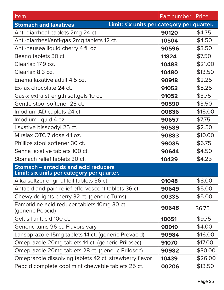| Item                                                                       | Part number | Price   |
|----------------------------------------------------------------------------|-------------|---------|
| Limit: six units per category per quarter.<br><b>Stomach and laxatives</b> |             |         |
| Anti-diarrheal caplets 2mg 24 ct.                                          | 90120       | \$4.75  |
| Anti-diarrheal/anti-gas 2mg tablets 12 ct.                                 | 10504       | \$4.50  |
| Anti-nausea liquid cherry 4 fl. oz.                                        | 90596       | \$3.50  |
| Beano tablets 30 ct.                                                       | 11824       | \$7.50  |
| Clearlax 17.9 oz.                                                          | 10483       | \$21.00 |
| Clearlax 8.3 oz.                                                           | 10480       | \$13.50 |
| Enema laxative adult 4.5 oz.                                               | 90918       | \$2.25  |
| Ex-lax chocolate 24 ct.                                                    | 91053       | \$8.25  |
| Gas-x extra strength softgels 10 ct.                                       | 91052       | \$3.75  |
| Gentle stool softener 25 ct.                                               | 90590       | \$3.50  |
| Imodium AD caplets 24 ct.                                                  | 00836       | \$15.00 |
| Imodium liquid 4 oz.                                                       | 90657       | \$7.75  |
| Laxative bisacodyl 25 ct.                                                  | 90589       | \$2.50  |
| Miralax OTC 7 dose 4.1 oz.                                                 | 90883       | \$10.00 |
| Phillips stool softener 30 ct.                                             | 99035       | \$6.75  |
| Senna laxative tablets 100 ct.                                             | 90644       | \$4.50  |
| Stomach relief tablets 30 ct.                                              | 10429       | \$4.25  |
| <b>Stomach - antacids and acid reducers</b>                                |             |         |
| Limit: six units per category per quarter.                                 |             |         |
| Alka-seltzer original foil tablets 36 ct.                                  | 91048       | \$8.00  |
| Antacid and pain relief effervescent tablets 36 ct.                        | 90649       | \$5.00  |
| Chewy delights cherry 32 ct. (generic Tums)                                | 00335       | \$5.00  |
| Famotidine acid reducer tablets 10mg 30 ct.<br>(generic Pepcid)            | 90648       | \$6.75  |
| Gelusil antacid 100 ct.                                                    | 10651       | \$9.75  |
| Generic tums 96 ct. Flavors vary                                           | 90919       | \$4.00  |
| Lansoprazole 15mg tablets 14 ct. (generic Prevacid)                        | 90984       | \$16.00 |
| Omeprazole 20mg tablets 14 ct. (generic Prilosec)                          | 91070       | \$17.00 |
| Omeprazole 20mg tablets 28 ct. (generic Prilosec)                          | 90982       | \$30.00 |
| Omeprazole dissolving tablets 42 ct. strawberry flavor                     | 10439       | \$26.00 |
| Pepcid complete cool mint chewable tablets 25 ct.                          | 00206       | \$13.50 |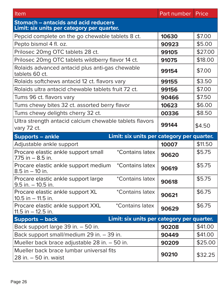| Item                                                                                      | Part number   Price |         |
|-------------------------------------------------------------------------------------------|---------------------|---------|
| <b>Stomach – antacids and acid reducers</b><br>Limit: six units per category per quarter. |                     |         |
| Pepcid complete on the go chewable tablets 8 ct.                                          | 10630               | \$7.00  |
| Pepto bismol 4 fl. oz.                                                                    | 90923               | \$5.00  |
| Prilosec 20mg OTC tablets 28 ct.                                                          | 99105               | \$27.00 |
| Prilosec 20mg OTC tablets wildberry flavor 14 ct.                                         | 91075               | \$18.00 |
| Rolaids advanced antacid plus anti-gas chewable<br>tablets 60 ct.                         | 99154               | \$7.00  |
| Rolaids softchews antacid 12 ct. flavors vary                                             | 99155               | \$3.50  |
| Rolaids ultra antacid chewable tablets fruit 72 ct.                                       | 99156               | \$7.00  |
| Tums 96 ct. flavors vary                                                                  | 90466               | \$7.50  |
| Tums chewy bites 32 ct. assorted berry flavor                                             | 10623               | \$6.00  |
| Tums chewy delights cherry 32 ct.                                                         | 00336               | \$8.50  |
| Ultra strength antacid calcium chewable tablets flavors<br>vary 72 ct.                    | 99144               | \$4.50  |
| Limit: six units per category per quarter.<br><b>Supports - ankle</b>                     |                     |         |
| Adjustable ankle support                                                                  | 10007               | \$11.50 |
| <i>*Contains latex</i><br>Procare elastic ankle support small<br>$7.75$ in $-8.5$ in.     | 90620               | \$5.75  |
| Procare elastic ankle support medium<br><i>*Contains latex</i><br>$8.5$ in $-10$ in.      | 90619               | \$5.75  |
| Procare elastic ankle support large<br>*Contains latex<br>$9.5$ in. $-10.5$ in.           | 90618               | \$5.75  |
| Procare elastic ankle support XL<br>*Contains latex<br>$10.5$ in $-11.5$ in.              | 90621               | \$6.75  |
| Procare elastic ankle support XXL<br><i>*Contains latex</i><br>$11.5$ in $-12.5$ in.      | 90629               | \$6.75  |
| Limit: six units per category per quarter.<br><b>Supports – back</b>                      |                     |         |
| Back support large 39 in. - 50 in.                                                        | 90208               | \$41.00 |
| Back support small/medium 29 in. - 39 in.                                                 | 90449               | \$41.00 |
| Mueller back brace adjustable 28 in. - 50 in.                                             | 90209               | \$25.00 |
| Mueller back brace lumbar universal fits<br>28 in. - 50 in. waist                         | 90210               | \$32.25 |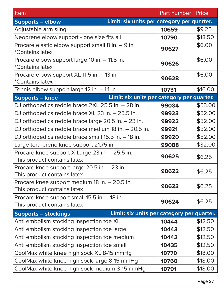| Item                                                                          | Part number | Price   |
|-------------------------------------------------------------------------------|-------------|---------|
| Limit: six units per category per quarter.<br><b>Supports - elbow</b>         |             |         |
| Adjustable arm sling                                                          | 10659       | \$9.25  |
| Neoprene elbow support - one size fits all                                    | 10790       | \$18.50 |
| Procare elastic elbow support small 8 in. - 9 in.<br><i>*Contains latex</i>   | 90627       | \$6.00  |
| Procare elbow support large 10 in. - 11.5 in.<br><i>*Contains latex</i>       | 90626       | \$6.00  |
| Procare elbow support XL 11.5 in. - 13 in.<br><i><b>*Contains latex</b></i>   | 90628       | \$6.00  |
| Tennis elbow support large 12 in. - 14 in.                                    | 10731       | \$16.00 |
| Limit: six units per category per quarter.<br><b>Supports - knee</b>          |             |         |
| DJ orthopedics reddie brace 2XL 25.5 in. - 28 in.                             | 99084       | \$53.00 |
| DJ orthopedics reddie brace XL 23 in. - 25.5 in.                              | 99923       | \$52.00 |
| DJ orthopedics reddie brace large 20.5 in. - 23 in.                           | 99922       | \$52.00 |
| DJ orthopedics reddie brace medium 18 in. - 20.5 in.                          | 99921       | \$52.00 |
| DJ orthopedics reddie brace small 15.5 in. - 18 in.                           | 99920       | \$52.00 |
| Large tera-prene knee support 21.75 in.                                       | 99088       | \$32.00 |
| Procare knee support X-Large 23 in. - 25.5 in.<br>This product contains latex | 90625       | \$6.25  |
| Procare knee support large 20.5 in. - 23 in.<br>This product contains latex   | 90622       | \$6.25  |
| Procare knee support medium 18 in. - 20.5 in.<br>This product contains latex  | 90623       | \$6.25  |
| Procare knee support small 15.5 in. - 18 in.<br>This product contains latex   | 90624       | \$6.25  |
| Limit: six units per category per quarter.<br><b>Supports - stockings</b>     |             |         |
| Anti embolism stocking inspection toe XL                                      | 10444       | \$12.50 |
| Anti embolism stocking inspection toe large                                   | 10443       | \$12.50 |
| Anti embolism stocking inspection toe medium                                  | 10442       | \$12.50 |
| Anti embolism stocking inspection toe small                                   | 10435       | \$12.50 |
| CoolMax white knee high sock XL 8-15 mmHg                                     | 10770       | \$18.00 |
| CoolMax white knee high sock large 8-15 mmHg                                  | 10760       | \$18.00 |
| CoolMax white knee high sock medium 8-15 mmHg                                 | 10791       | \$18.00 |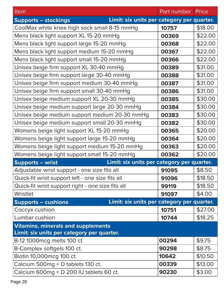| Item                                                                                    | Part number | <b>Price</b> |
|-----------------------------------------------------------------------------------------|-------------|--------------|
| Limit: six units per category per quarter.<br><b>Supports - stockings</b>               |             |              |
| CoolMax white knee high sock small 8-15 mmHg                                            | 10757       | \$18.00      |
| Mens black light support XL 15-20 mmHg                                                  | 00369       | \$22.00      |
| Mens black light support large 15-20 mmHg                                               | 00368       | \$22.00      |
| Mens black light support medium 15-20 mmHg                                              | 00367       | \$22.00      |
| Mens black light support small 15-20 mmHg                                               | 00366       | \$22.00      |
| Unisex beige firm support XL 30-40 mmHg                                                 | 00389       | \$31.00      |
| Unisex beige firm support large 30-40 mmHg                                              | 00388       | \$31.00      |
| Unisex beige firm support medium 30-40 mmHg                                             | 00387       | \$31.00      |
| Unisex beige firm support small 30-40 mmHg                                              | 00386       | \$31.00      |
| Unisex beige medium support XL 20-30 mmHg                                               | 00385       | \$30.00      |
| Unisex beige medium support large 20-30 mmHg                                            | 00384       | \$30.00      |
| Unisex beige medium support medium 20-30 mmHg                                           | 00383       | \$30.00      |
| Unisex beige medium support small 20-30 mmHg                                            | 00382       | \$30.00      |
| Womens beige light support XL 15-20 mmHg                                                | 00365       | \$20.00      |
| Womens beige light support large 15-20 mmHg                                             | 00364       | \$20.00      |
| Womens beige light support medium 15-20 mmHg                                            | 00363       | \$20.00      |
| Womens beige light support small 15-20 mmHg                                             | 00362       | \$20.00      |
| Limit: six units per category per quarter.<br><b>Supports - wrist</b>                   |             |              |
| Adjustable wrist support - one size fits all                                            | 91095       | \$8.50       |
| Quick-fit wrist support left - one size fits all                                        | 91096       | \$18.50      |
| Quick-fit wrist support right - one size fits all                                       | 99119       | \$18.50      |
| Wristlet                                                                                | 91097       | \$4.00       |
| Limit: six units per category per quarter.<br><b>Supports – cushions</b>                |             |              |
| Coccyx cushion                                                                          | 10751       | \$27.00      |
| Lumbar cushion                                                                          | 10744       | \$18.25      |
| <b>Vitamins, minerals and supplements</b><br>Limit: six units per category per quarter. |             |              |
| B-12 1000 mcg melts 100 ct.                                                             | 00294       | \$9.75       |
| B-Complex softgels 100 ct.                                                              | 90298       | \$8.75       |
| Biotin 10,000 mcg 100 ct.                                                               | 10642       | \$10.50      |
| Calcium 500mg + D tablets 130 ct.                                                       | 00339       | \$13.00      |
| Calcium 600mg + D 200 IU tablets 60 ct.                                                 | 90230       | \$3.00       |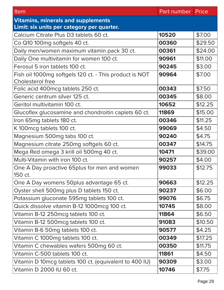| Item                                                                       | Part number | Price   |
|----------------------------------------------------------------------------|-------------|---------|
| <b>Vitamins, minerals and supplements</b>                                  |             |         |
| Limit: six units per category per quarter.                                 |             |         |
| Calcium Citrate Plus D3 tablets 60 ct.                                     | 10520       | \$7.00  |
| Co Q10 100mg softgels 40 ct.                                               | 00360       | \$29.50 |
| Daily men/women maximum vitamin pack 30 ct.                                | 00361       | \$24.00 |
| Daily One multivitamin for women 100 ct.                                   | 90961       | \$11.00 |
| Ferosul 5 iron tablets 100 ct.                                             | 90245       | \$3.00  |
| Fish oil 1000mg softgels 120 ct. - This product is NOT<br>Cholesterol free | 90964       | \$7.00  |
| Folic acid 400mcg tablets 250 ct.                                          | 00343       | \$7.50  |
| Generic centrum silver 125 ct.                                             | 00345       | \$8.00  |
| Geritol multivitamin 100 ct.                                               | 10652       | \$12.25 |
| Glucoflex glucosamine and chondroitin caplets 60 ct.                       | 11869       | \$15.00 |
| Iron 65mg tablets 180 ct.                                                  | 00346       | \$11.25 |
| K 100 mcg tablets 100 ct.                                                  | 99069       | \$4.50  |
| Magnesium 500mg tabs 100 ct.                                               | 90240       | \$4.75  |
| Magnesium citrate 250mg softgels 60 ct.                                    | 00347       | \$14.75 |
| Mega Red omega 3 krill oil 500mg 40 ct.                                    | 10471       | \$39.00 |
| Multi-Vitamin with iron 100 ct.                                            | 90257       | \$4.00  |
| One A Day proactive 65plus for men and women<br>150 ct.                    | 99033       | \$12.75 |
| One A Day womens 50 plus advantage 65 ct.                                  | 90663       | \$12.25 |
| Oyster shell 500mg plus D tablets 150 ct.                                  | 90237       | \$6.00  |
| Potassium gluconate 595mg tablets 100 ct.                                  | 99076       | \$6.75  |
| Quick dissolve vitamin B-12 1000mcg 100 ct.                                | 10745       | \$8.00  |
| Vitamin B-12 250 mcg tablets 100 ct.                                       | 11864       | \$6.50  |
| Vitamin B-12 500 mcg tablets 100 ct.                                       | 91083       | \$10.50 |
| Vitamin B-6 50mg tablets 100 ct.                                           | 90577       | \$4.25  |
| Vitamin C 1000mg tablets 100 ct.                                           | 00349       | \$17.25 |
| Vitamin C chewables wafers 500mg 60 ct.                                    | 00350       | \$11.75 |
| Vitamin C-500 tablets 100 ct.                                              | 11861       | \$4.50  |
| Vitamin D 10mcg tablets 100 ct. (equivalent to 400 IU)                     | 90309       | \$3.00  |
| Vitamin D 2000 IU 60 ct.                                                   | 10746       | \$7.75  |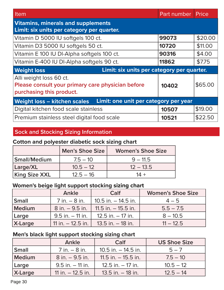| Item                                                                                                     | <b>Part number Price</b> |         |
|----------------------------------------------------------------------------------------------------------|--------------------------|---------|
| <b>Vitamins, minerals and supplements</b><br>Limit: six units per category per quarter.                  |                          |         |
| Vitamin D 5000 IU softgels 100 ct.                                                                       | 99073                    | \$20.00 |
| Vitamin D3 5000 IU softgels 50 ct.                                                                       | 10720                    | \$11.00 |
| Vitamin E 100 IU DI-Alpha softgels 100 ct.                                                               | 90316                    | \$4.00  |
| Vitamin E-400 IU DI-Alpha softgels 90 ct.                                                                | 11862                    | \$7.75  |
| Limit: six units per category per quarter.<br><b>Weight loss</b>                                         |                          |         |
| Alli weight loss 60 ct.<br>Please consult your primary care physician before<br>purchasing this product. | 10402                    | \$65.00 |
| Limit: one unit per category per year<br><b>Weight loss - kitchen scales</b>                             |                          |         |
| Digital kitchen food scale stainless                                                                     | 10507                    | \$19.00 |
| Premium stainless steel digital food scale                                                               | 10521                    | \$22.50 |

#### **Sock and Stocking Sizing Information**

#### **Cotton and polyester diabetic sock sizing chart**

|                      | <b>Men's Shoe Size</b> | <b>Women's Shoe Size</b> |
|----------------------|------------------------|--------------------------|
| Small/Medium         | $7.5 - 10$             | $9 - 11.5$               |
| Large/XL             | $10.5 - 12$            | $12 - 13.5$              |
| <b>King Size XXL</b> | $12.5 - 16$            | $14 +$                   |

#### **Women's beige light support stocking sizing chart**

|         | Ankle               | Calf                   | <b>Women's Shoe Size</b> |
|---------|---------------------|------------------------|--------------------------|
| Small   | $7$ in. $-8$ in.    | $10.5$ in. $-14.5$ in. | $4 - 5$                  |
| Medium  | $8$ in. $-9.5$ in.  | 11.5 in. $-$ 15.5 in.  | $5.5 - 7.5$              |
| Large   | $9.5$ in. $-11$ in. | $12.5$ in. $-17$ in.   | $8 - 10.5$               |
| X-Large | 11 in. $-$ 12.5 in. | $13.5$ in. $-18$ in.   | $11 - 12.5$              |

#### **Men's black light support stocking sizing chart**

|               | Ankle               | Calf                   | <b>US Shoe Size</b> |
|---------------|---------------------|------------------------|---------------------|
| <b>Small</b>  | $7$ in. $-8$ in.    | $10.5$ in. $-14.5$ in. | $5 - 7$             |
| <b>Medium</b> | $8$ in. $-9.5$ in.  | 11.5 in. $-$ 15.5 in.  | $7.5 - 10$          |
| Large         | $9.5$ in. $-11$ in. | $12.5$ in. $-17$ in.   | $10.5 - 12$         |
| X-Large       | 11 in. $-$ 12.5 in. | $13.5$ in. $-18$ in.   | $12.5 - 14$         |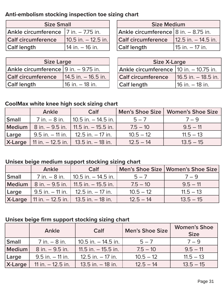#### **Anti-embolism stocking inspection toe sizing chart**

| <b>Size Small</b>                      |                        |  |  |
|----------------------------------------|------------------------|--|--|
| Ankle circumference   7 in. - 7.75 in. |                        |  |  |
| <b>Calf circumference</b>              | $10.5$ in. $-12.5$ in. |  |  |
| <b>Calf length</b>                     | 14 in. $-$ 16 in.      |  |  |

| <b>Size Medium</b>                   |                     |  |  |
|--------------------------------------|---------------------|--|--|
| Ankle circumference 8 in. - 8.75 in. |                     |  |  |
| <b>Calf circumference</b>            | 12.5 in. - 14.5 in. |  |  |
| <b>Calf length</b>                   | $15$ in. $-17$ in.  |  |  |

| <b>Size Large</b>                         |                        |  |  |
|-------------------------------------------|------------------------|--|--|
| Ankle circumference $ 9$ in. $-$ 9.75 in. |                        |  |  |
| <b>Calf circumference</b>                 | $14.5$ in. $-16.5$ in. |  |  |
| <b>Calf length</b>                        | 16 in. – 18 in.        |  |  |

| <b>Size X-Large</b>                      |                     |  |  |
|------------------------------------------|---------------------|--|--|
| Ankle circumference   10 in. - 10.75 in. |                     |  |  |
| <b>Calf circumference</b>                | 16.5 in. - 18.5 in. |  |  |
| <b>Calf length</b>                       | 116 in. – 18 in.    |  |  |

#### **CoolMax white knee high sock sizing chart**

|              | Ankle | Calf                                                              |             | Men's Shoe Size   Women's Shoe Size |
|--------------|-------|-------------------------------------------------------------------|-------------|-------------------------------------|
| <b>Small</b> |       | $\frac{7}{1}$ in. $-$ 8 in. $\frac{110.5}{10.5}$ in. $-$ 14.5 in. | $5 - 7$     | $7 - 9$                             |
|              |       | Medium   8 in. - 9.5 in.   11.5 in. - 15.5 in.                    | $7.5 - 10$  | $9.5 - 11$                          |
| Large        |       | $9.5$ in. $-11$ in.   12.5 in. $-17$ in.                          | $10.5 - 12$ | $11.5 - 13$                         |
|              |       | <b>X-Large</b>   11 in. $-$ 12.5 in.   13.5 in. $-$ 18 in.        | $12.5 - 14$ | $13.5 - 15$                         |

#### **Unisex beige medium support stocking sizing chart**

|              | Ankle | Calf                                                       |             | Men's Shoe Size   Women's Shoe Size |
|--------------|-------|------------------------------------------------------------|-------------|-------------------------------------|
| <b>Small</b> |       | $\frac{7}{1}$ in. $-$ 8 in.   10.5 in. $-$ 14.5 in.        | $5 - 7$     | $7 - 9$                             |
|              |       | <b>Medium</b>   8 in. – 9.5 in.   11.5 in. – 15.5 in.      | $7.5 - 10$  | $9.5 - 11$                          |
| Large        |       | $9.5$ in. – 11 in.   12.5 in. – 17 in.                     | $10.5 - 12$ | $11.5 - 13$                         |
|              |       | <b>X-Large</b>   11 in. $-$ 12.5 in.   13.5 in. $-$ 18 in. | $12.5 - 14$ | $13.5 - 15$                         |

#### **Unisex beige firm support stocking sizing chart**

|         | Ankle               | Calf                   | Men's Shoe Size | <b>Women's Shoe</b><br><b>Size</b> |
|---------|---------------------|------------------------|-----------------|------------------------------------|
| Small   | $7$ in. $-8$ in.    | $10.5$ in. $-14.5$ in. | $5 - 7$         | $7 - 9$                            |
| Medium  | $8$ in. $-9.5$ in.  | $11.5$ in. $-15.5$ in. | $7.5 - 10$      | $9.5 - 11$                         |
| Large   | $9.5$ in. $-11$ in. | $12.5$ in. $-17$ in.   | $10.5 - 12$     | $11.5 - 13$                        |
| X-Large | 11 in. $-$ 12.5 in. | $13.5$ in. $-18$ in.   | $12.5 - 14$     | $13.5 - 15$                        |